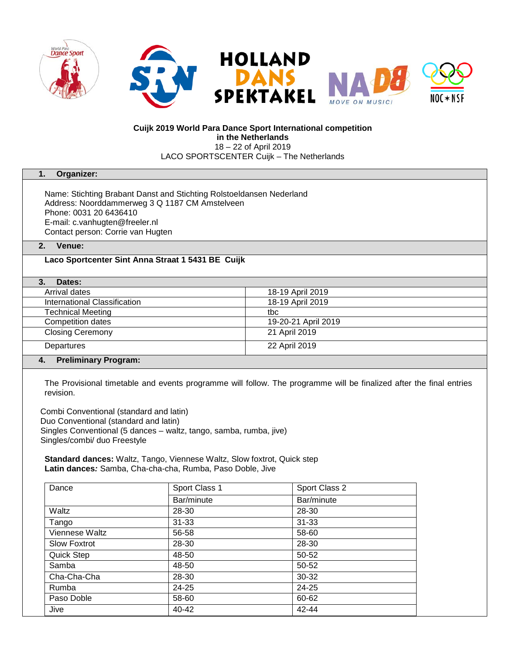

## **Cuijk 2019 World Para Dance Sport International competition in the Netherlands** 18 – 22 of April 2019

LACO SPORTSCENTER Cuijk – The Netherlands

### **1. Organizer:**

Name: Stichting Brabant Danst and Stichting Rolstoeldansen Nederland Address: Noorddammerweg 3 Q 1187 CM Amstelveen Phone: 0031 20 6436410 E-mail: c.vanhugten@freeler.nl Contact person: Corrie van Hugten

## **2. Venue:**

# **Laco Sportcenter Sint Anna Straat 1 5431 BE Cuijk**

| Dates:                            |                     |
|-----------------------------------|---------------------|
| Arrival dates                     | 18-19 April 2019    |
| International Classification      | 18-19 April 2019    |
| <b>Technical Meeting</b>          | tbc                 |
| Competition dates                 | 19-20-21 April 2019 |
| <b>Closing Ceremony</b>           | 21 April 2019       |
| Departures                        | 22 April 2019       |
| <b>Preliminary Program:</b><br>4. |                     |

The Provisional timetable and events programme will follow. The programme will be finalized after the final entries revision.

Combi Conventional (standard and latin) Duo Conventional (standard and latin) Singles Conventional (5 dances – waltz, tango, samba, rumba, jive) Singles/combi/ duo Freestyle

**Standard dances:** Waltz, Tango, Viennese Waltz, Slow foxtrot, Quick step **Latin dances***:* Samba, Cha-cha-cha, Rumba, Paso Doble, Jive

| Dance               | Sport Class 1 | Sport Class 2 |
|---------------------|---------------|---------------|
|                     | Bar/minute    | Bar/minute    |
| <b>Waltz</b>        | 28-30         | 28-30         |
| Tango               | $31 - 33$     | $31 - 33$     |
| Viennese Waltz      | 56-58         | 58-60         |
| <b>Slow Foxtrot</b> | 28-30         | 28-30         |
| Quick Step          | 48-50         | 50-52         |
| Samba               | 48-50         | 50-52         |
| Cha-Cha-Cha         | 28-30         | 30-32         |
| Rumba               | 24-25         | 24-25         |
| Paso Doble          | 58-60         | 60-62         |
| Jive                | $40 - 42$     | 42-44         |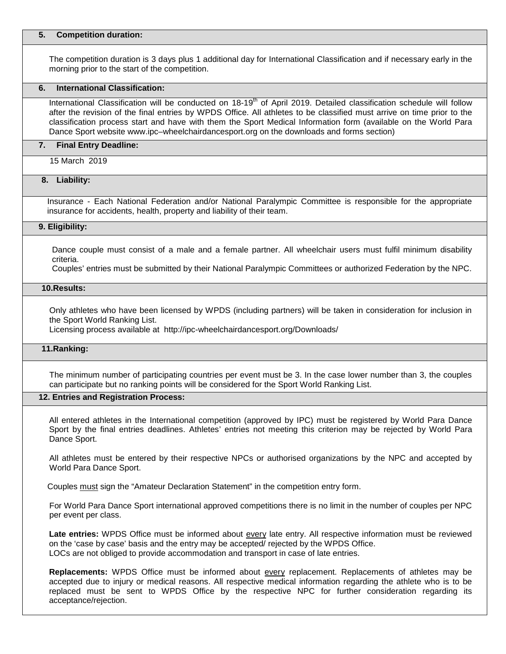### **5. Competition duration:**

The competition duration is 3 days plus 1 additional day for International Classification and if necessary early in the morning prior to the start of the competition.

## **6. International Classification:**

International Classification will be conducted on  $18-19<sup>th</sup>$  of April 2019. Detailed classification schedule will follow after the revision of the final entries by WPDS Office. All athletes to be classified must arrive on time prior to the classification process start and have with them the Sport Medical Information form (available on the World Para Dance Sport website www.ipc–wheelchairdancesport.org on the downloads and forms section)

### **7. Final Entry Deadline:**

15 March 2019

## **8. Liability:**

Insurance - Each National Federation and/or National Paralympic Committee is responsible for the appropriate insurance for accidents, health, property and liability of their team.

### **9. Eligibility:**

Dance couple must consist of a male and a female partner. All wheelchair users must fulfil minimum disability criteria.

Couples' entries must be submitted by their National Paralympic Committees or authorized Federation by the NPC.

## **10.Results:**

Only athletes who have been licensed by WPDS (including partners) will be taken in consideration for inclusion in the Sport World Ranking List.

Licensing process available at http://ipc-wheelchairdancesport.org/Downloads/

## **11.Ranking:**

The minimum number of participating countries per event must be 3. In the case lower number than 3, the couples can participate but no ranking points will be considered for the Sport World Ranking List.

## **12. Entries and Registration Process:**

All entered athletes in the International competition (approved by IPC) must be registered by World Para Dance Sport by the final entries deadlines. Athletes' entries not meeting this criterion may be rejected by World Para Dance Sport.

All athletes must be entered by their respective NPCs or authorised organizations by the NPC and accepted by World Para Dance Sport.

Couples must sign the "Amateur Declaration Statement" in the competition entry form.

For World Para Dance Sport international approved competitions there is no limit in the number of couples per NPC per event per class.

**Late entries:** WPDS Office must be informed about every late entry. All respective information must be reviewed on the 'case by case' basis and the entry may be accepted/ rejected by the WPDS Office. LOCs are not obliged to provide accommodation and transport in case of late entries.

**Replacements:** WPDS Office must be informed about every replacement. Replacements of athletes may be accepted due to injury or medical reasons. All respective medical information regarding the athlete who is to be replaced must be sent to WPDS Office by the respective NPC for further consideration regarding its acceptance/rejection.